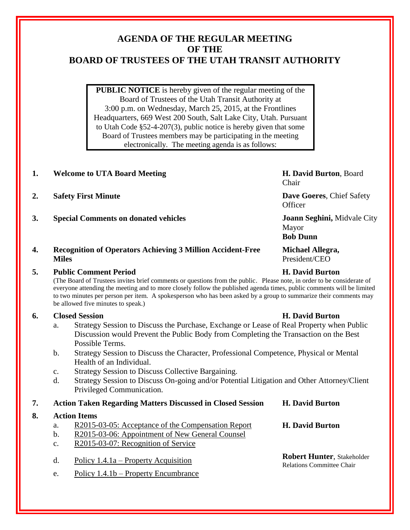# **AGENDA OF THE REGULAR MEETING OF THE BOARD OF TRUSTEES OF THE UTAH TRANSIT AUTHORITY**

**PUBLIC NOTICE** is hereby given of the regular meeting of the Board of Trustees of the Utah Transit Authority at 3:00 p.m. on Wednesday, March 25, 2015, at the Frontlines Headquarters, 669 West 200 South, Salt Lake City, Utah. Pursuant to Utah Code §52-4-207(3), public notice is hereby given that some Board of Trustees members may be participating in the meeting electronically. The meeting agenda is as follows:

# **1. Welcome to UTA Board Meeting H. David Burton**, Board

- **2. Safety First Minute Dave Goeres**, Chief Safety
- **3. Special Comments on donated vehicles Joann Seghini,** Midvale City

### **4. Recognition of Operators Achieving 3 Million Accident-Free Miles**

### **5. Public Comment Period H. David Burton**

(The Board of Trustees invites brief comments or questions from the public. Please note, in order to be considerate of everyone attending the meeting and to more closely follow the published agenda times, public comments will be limited to two minutes per person per item. A spokesperson who has been asked by a group to summarize their comments may be allowed five minutes to speak.)

# **6. Closed Session H. David Burton**

- a. Strategy Session to Discuss the Purchase, Exchange or Lease of Real Property when Public Discussion would Prevent the Public Body from Completing the Transaction on the Best Possible Terms.
- b. Strategy Session to Discuss the Character, Professional Competence, Physical or Mental Health of an Individual.
- c. Strategy Session to Discuss Collective Bargaining.
- d. Strategy Session to Discuss On-going and/or Potential Litigation and Other Attorney/Client Privileged Communication.

### **7. Action Taken Regarding Matters Discussed in Closed Session H. David Burton**

# **8. Action Items**

- a. R2015-03-05: Acceptance of the Compensation Report **H. David Burton**
- b. R2015-03-06: Appointment of New General Counsel
- c. R2015-03-07: Recognition of Service
- d. Policy 1.4.1a Property Acquisition **Robert Hunter**, Stakeholder
- e. Policy 1.4.1b Property Encumbrance

Relations Committee Chair

Chair

Officer

Mayor

**Bob Dunn**

**Michael Allegra,**  President/CEO